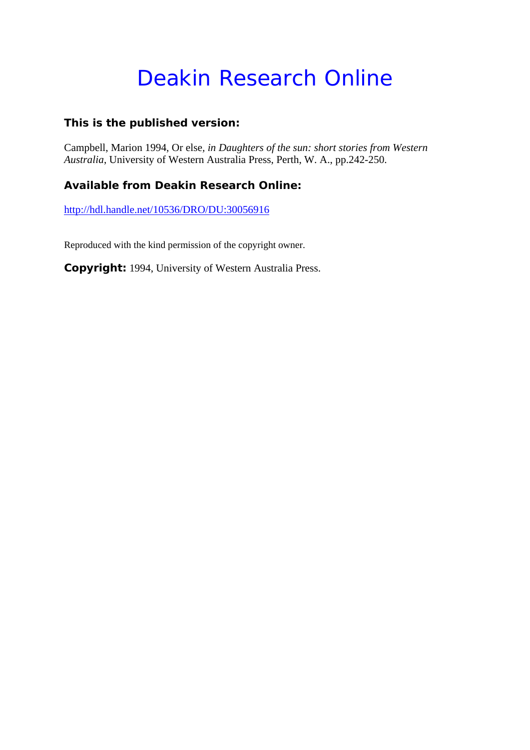## Deakin Research Online

#### **This is the published version:**

Campbell, Marion 1994, Or else*, in Daughters of the sun: short stories from Western Australia*, University of Western Australia Press, Perth, W. A., pp.242-250.

#### **Available from Deakin Research Online:**

http://hdl.handle.net/10536/DRO/DU:30056916

Reproduced with the kind permission of the copyright owner.

**Copyright:** 1994, University of Western Australia Press.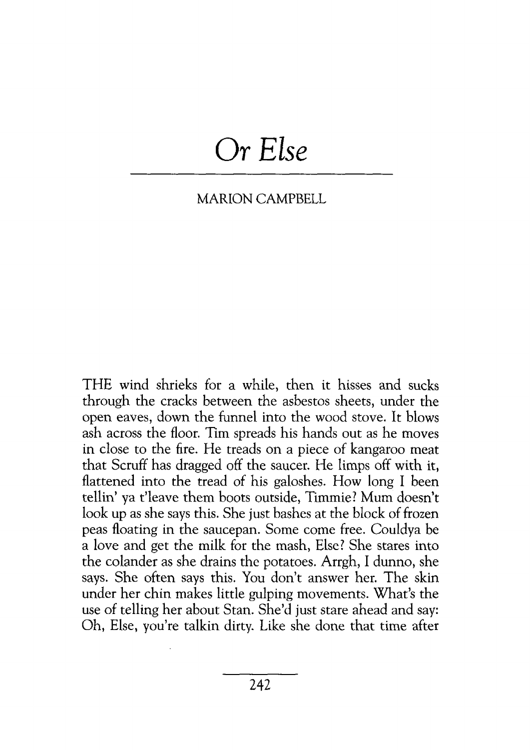# *Or Else*

### MARION CAMPBELL

THE wind shrieks for a while, then it hisses and sucks through the cracks between the asbestos sheets, under the open eaves, down the funnel into the wood stove. It blows ash across the floor. Tim spreads his hands out as he moves in close to the fire. He treads on a piece of kangaroo meat that Scruff has dragged off the saucer. He limps off with it, flattened into the tread of his galoshes. How long I been tellin' ya t'leave them boots outside, Timmie? Mum doesn't look up as she says this. She just bashes at the block of frozen peas floating in the saucepan. Some come free. Couldya be a love and get the milk for the mash, Else? She stares into the colander as she drains the potatoes. Arrgh, I dunno, she says. She often says this. You don't answer her. The skin under her chin makes little gulping movements. What's the use of telling her about Stan. She'd just stare ahead and say: Oh, Else, you're talkin dirty. Like she done that time after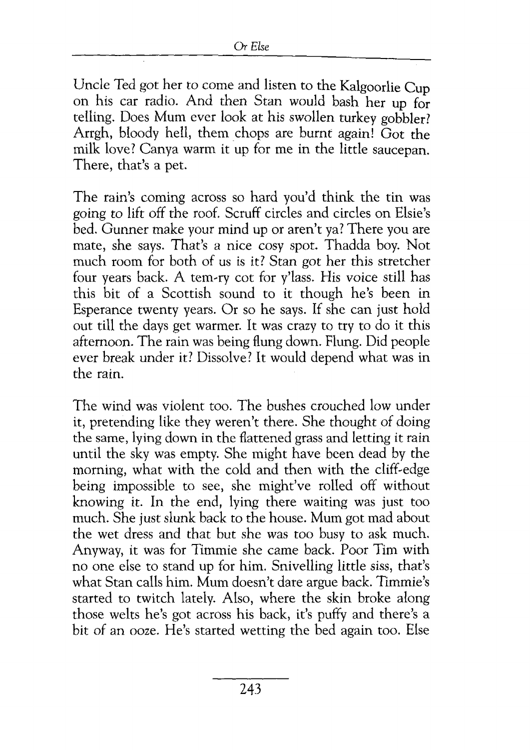Uncle Ted got her to come and listen to the Kalgoorlie Cup on his car radio. And then Stan would bash her up for telling. Does Mum ever look at his swollen turkey gobbler? Arrgh, bloody hell, them chops are burnt again! Got the milk love? Canya warm it up for me in the little saucepan. There, that's a pet.

The rain's coming across so hard you'd think the tin was going to lift off the roof. Scruff circles and circles on Elsie's bed. Gunner make your mind up or aren't ya? There you are mate, she says. That's a nice cosy spot. Thadda boy. Not much room for both of us is it? Stan got her this stretcher four years back. A tem.-ry cot for y'lass. His *voice* still has this bit of a Scottish sound to it though he's been in Esperance twenty years. Or so he says. If she can just hold out till the days get warmer. It was crazy to try to do it this afternoon. The rain was being flung down. Flung. Did people ever break under it? Dissolve? It would depend what was in the rain.

The wind was violent too. The bushes crouched low under it, pretending like they weren't there. She thought of doing the same, lying down in the flattened grass and letting it rain until the sky was empty. She might have been dead by the morning, what with the cold and then with the cliff-edge being impossible to see, she might've rolled off without knowing it. In the end, lying there waiting was just too much. She just slunk back to the house. Mum got mad about the wet dress and that but she was too busy to ask much. Anyway, it was for Timmie she came back. Poor Tim with no one else to stand up for him. Snivelling little siss, that's what Stan calls him. Mum doesn't dare argue back. Timmie's started to twitch lately. Also, where the skin broke along those welts he's got across his back, it's puffy and there's a bit of an ooze. He's started wetting the bed again too. Else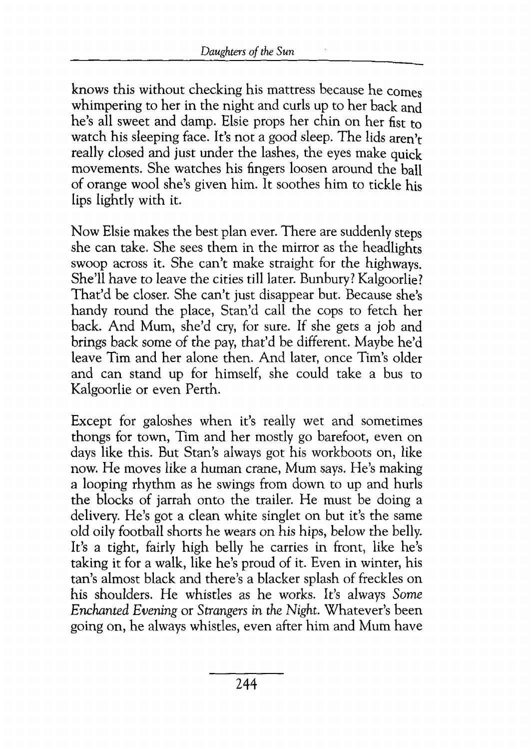knows this without checking his mattress because he comes whimpering to her in the night and curls up to her back and he's all sweet and damp. Elsie props her chin on her fist to watch his sleeping face. It's not a good sleep. The lids aren't really closed and just under the lashes, the eyes make quick movements. She watches his fingers loosen around the ball of orange wool she's given him. It soothes him to tickle his lips lightly with it.

Now Elsie makes the best plan ever. There are suddenly steps she can take. She sees them in the mirror as the headlights swoop across it. She can't make straight for the highways. She'll have to leave the cities till later. Bunbury? Kalgoorlie? That'd be closer. She can't just disappear but. Because she's handy round the place, Stan'd call the cops to fetch her back. And Mum, she'd cry, for sure. If she gets a job and brings back some of the pay, that'd be different. Maybe he'd leave Tim and her alone then. And later, once Tim's older and can stand up for himself, she could take a bus to Kalgoorlie or even Perth.

Except for galoshes when it's really wet and sometimes thongs for town, Tim and her mostly go barefoot, even on days like this. But Stan's always got his workboots on, like now. He moves like a human crane, Mum says. He's making a looping rhythm as he swings from down to up and hurls the blocks of jarrah onto the trailer. He must be doing a delivery. He's got a clean white singlet on but it's the same old oily football shorts he wears on his hips, below the belly. It's a tight, fairly high belly he carries in front, like he's taking it for a walk, like he's proud of it. Even in winter, his tan's almost black and there's a blacker splash of freckles on his shoulders. He whistles as he works. It's always *Some Enchanted Evening* or *Strangers in the Night.* Whatever's been going on, he always whistles, even after him and Mum have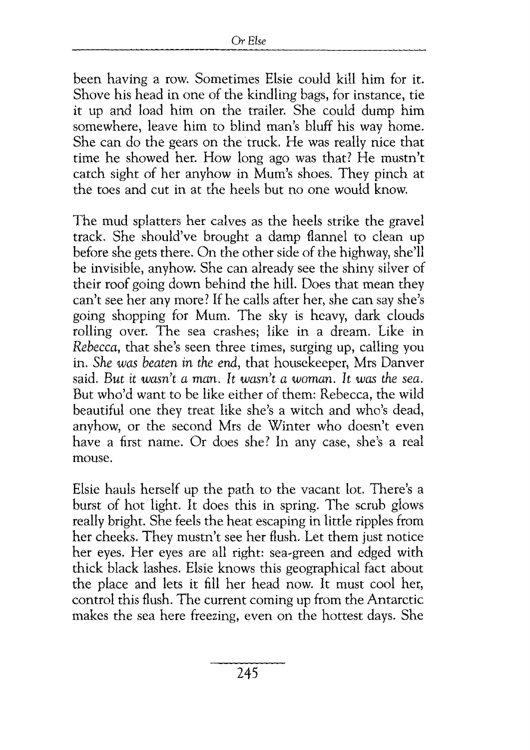been having a row. Sometimes Elsie could kill him for it. Shove his head in one of the kindling bags, for instance, tie it up and load him on the trailer. She could dump him somewhere, leave him to blind man's bluff his way home. She can do the gears on the truck. He was really nice that time he showed her. How long ago was that? He mustn't catch sight of her anyhow in Mum's shoes. They pinch at the toes and cut in at the heels but no one would know.

The mud splatters her calves as the heels strike the gravel track. She should've brought a damp flannel to clean up before she gets there. On the other side of the highway, she'll be invisible, anyhow. She can already see the shiny silver of their roof going down behind the hill. Does that mean they can't see her any more? If he calls after her, she can say she's going shopping for Mum. The sky is heavy, dark clouds rolling over. The sea crashes; like in a dream. Like in *Rebecca,* that she's seen three times, surging up, calling you in. *She was beaten in the end,* that housekeeper, Mrs Danver said. *But it wasn't a man. It wasn't a woman. It was the sea.*  But who'd want to be like either of them: Rebecca, the wild beautiful one they treat like she's a witch and who's dead, anyhow, or the second Mrs de Winter who doesn't even have a first name. Or does she? In any case, she's a real mouse.

Elsie hauls herself up the path to the vacant lot. There's a burst of hot· light. It does this in spring. The scrub glows really bright. She feels the heat escaping in little ripples from her cheeks. They mustn't see her flush. Let them just notice her eyes. Her eyes are all right: sea-green and edged with thick black lashes. Elsie knows this geographical fact about the place and lets it fill her head now. It must cool her, control this flush. The current coming up from the Antarctic makes the sea here freezing, even on the hottest days. She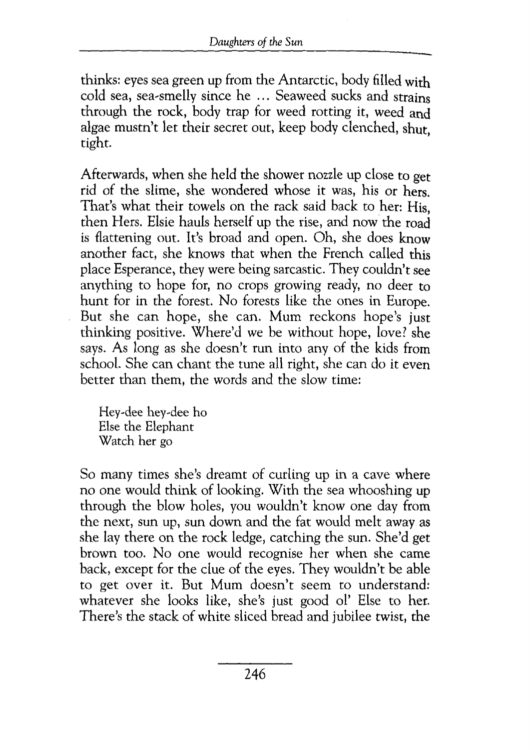thinks: eyes sea green up from the Antarctic, body filled with cold sea, sea-smelly since he ... Seaweed sucks and strains through the rock, body trap for weed rotting it, weed and algae mustn't let their secret out, keep body clenched, shut, tight.

Afterwards, when she held the shower nozzle up close to get rid of the slime, she wondered whose it was, his or hers. That's what their towels on the rack said back to her: His, then Hers. Elsie hauls herself up the rise, and now the road is flattening out. It's broad and open. Oh, she does know another fact, she knows that when the French called this place Esperance, they were being sarcastic. They couldn't see anything to hope for, no crops growing ready, no deer to hunt for in the forest. No forests like the ones in Europe. But she can hope, she can. Mum reckons hope's just thinking positive. Where'd we be without hope, love? she says. As long as she doesn't run into any of the kids from school. She can chant the tune all right, she can do it even better than them, the words and the slow time:

Hey~dee hey~dee ho Else the Elephant Watch her go

So many times she's dreamt of curling up in a cave where no one would think of looking. With the sea whooshing up through the blow holes, you wouldn't know one day from the next, sun up, sun down and the fat would melt away as she lay there on the rock ledge, catching the sun. She'd get brown too. No one would recognise her when she came back, except for the clue of the eyes. They wouldn't be able to get over it. But Mum doesn't seem to understand: whatever she looks like, she's just good ol' Else to her. There's the stack of white sliced bread and jubilee twist, the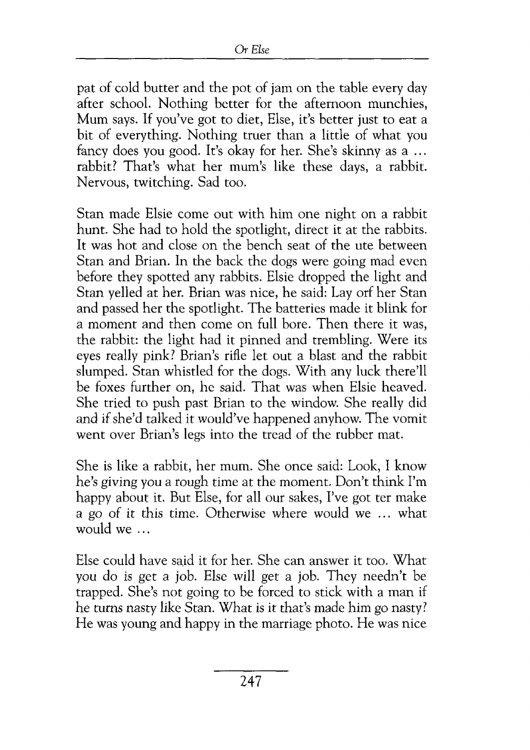pat of cold butter and the pot of jam on the table every day after school. Nothing better for the afternoon munchies, Mum says. If you've got to diet, Else, it's better just to eat a bit of everything. Nothing truer than a little of what you fancy does you good. It's okay for her. She's skinny as a ... rabbit? That's what her mum's like these days, a rabbit. Nervous, twitching. Sad too.

Stan made Elsie come out with him one night on a rabbit hunt. She had to hold the spotlight, direct it at the rabbits. It was hot and close on the bench seat of the ute between Stan and Brian. In the back the dogs were going mad even before they spotted any rabbits. Elsie dropped the light and Stan yelled at her. Brian was nice, he said: Lay orf her Stan and passed her the spotlight. The batteries made it blink for a moment and then come on full bore. Then there it was, the rabbit: the light had it pinned and trembling. Were its eyes really pink? Brian's rifle let out a blast and the rabbit slumped. Stan whistled for the dogs. With any luck there'll be foxes further on, he said. That was when Elsie heaved. She tried to push past Brian to the window. She really did and if she'd talked it would've happened anyhow. The vomit went over Brian's legs into the tread of the rubber mat.

She is like a rabbit, her mum. She once said: Look, I know he's giving you a rough time at the moment. Don't think I'm happy about it. But Else, for all our sakes, I've got ter make a go of it this time. Otherwise where would we ... what would we ...

Else could have said it for her. She can answer it too. What you do *is* get a job. Else will get a job. They needn't be trapped. She's not going to be forced to stick with a man if he turns nasty like Stan. What is it that's made him go nasty? He was young and happy in the marriage photo. He was nice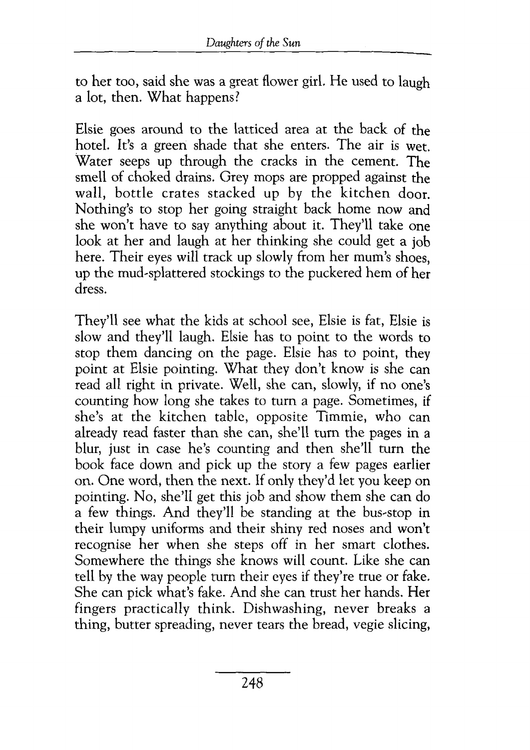to her too, said she was a great flower girl. He used to laugh a lot, then. What happens?

Elsie goes around to the latticed area at the back of the hotel. It's a greeri shade that she enters. The air is wet. Water seeps up through the cracks in the cement. The smell of choked drains. Grey mops are propped against the wall, bottle crates stacked up by the kitchen door. Nothing's to stop her going straight back home now and she won't have to say anything about it. They'll take one look at her and laugh at her thinking she could get a job here. Their eyes will track up slowly from her mum's shoes. up the mud.-splattered stockings to the puckered hem of her dress.

They'll see what the kids at school see, Elsie is fat, Elsie is slow and they'll laugh. Elsie has to point to the words to stop them dancing on the page. Elsie has to point, they point at Elsie pointing. What they don't know is she can read all right in private. Well, she can, slowly, if no one's counting how long she takes to tum a page. Sometimes, if she's at the kitchen table, opposite Timmie, who can already read faster than she can, she'll tum the pages in a blur, just in case he's counting and then she'll turn the book face down and pick up the story a few pages earlier on. One word, then the next. If only they'd let you keep on pointing. No, she'll get this job and show them she can do a few things. And they'll be standing at the bus-stop in their lumpy uniforms and their shiny red noses and won't recognise her when she steps off in her smart clothes. Somewhere the things she knows will count. Like she can tell by the way people turn their eyes if they're true or fake. She can pick what's fake. And she can trust her hands. Her fingers practically think. Dishwashing, never breaks a thing, butter spreading, never tears the bread, vegie slicing,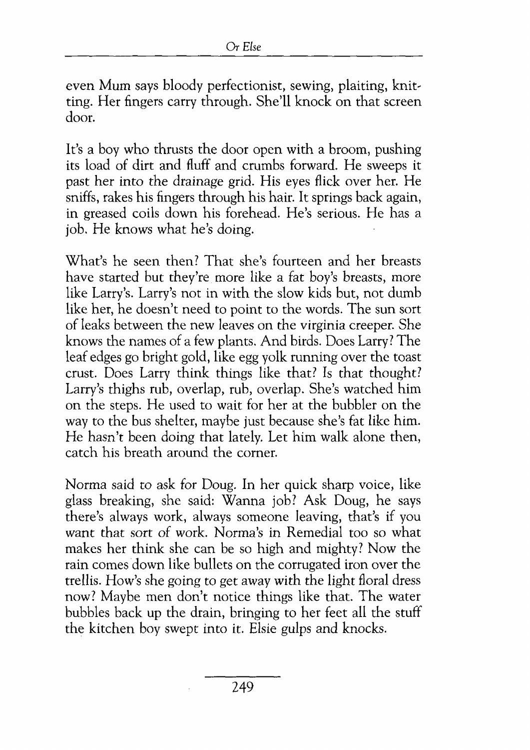even Mum says bloody perfectionist, sewing, plaiting, knit~ ting. Her fingers carry through. She'll knock on that screen door.

It's a boy who thrusts the door open with a broom, pushing its load of dirt and fluff and crumbs forward. He sweeps it past her into the drainage grid. His eyes flick over her. He sniffs, rakes his fingers through his hair. It springs back again, in greased coils down his forehead. He's serious. He has a job. He knows what he's doing.

What's he seen then? That she's fourteen and her breasts have started but they're more like a fat boy's breasts, more like Larry's. Larry's not in with the slow kids but, not dumb like her, he doesn't need to point to the words. The sun sort of leaks between the new leaves on the virginia creeper. She knows the names of a few plants. And birds. Does Larry? The leaf edges go bright gold, like egg yolk running over the toast crust. Does Larry think things like that? Is that thought? Larry's thighs rub, overlap, rub, overlap. She's watched him on the steps. He used to wait for her at the bubbler on the way to the bus shelter, maybe just because she's fat like him. He hasn't been doing that lately. Let him walk alone then, catch his breath around the comer.

Norma said to ask for Doug. In her quick sharp voice, like glass breaking, she said: Wanna job? Ask Doug, he says there's always work, always someone leaving, that's if you want that sort of work. Norma's in Remedial too so what makes her think she can be so high and mighty! Now the rain comes down like bullets on the corrugated iron over the trellis. How's she going to get away with the light floral dress now? Maybe men don't notice things like that. The water bubbles back up the drain, bringing to her feet all the stuff the kitchen boy swept into it. Elsie gulps and knocks.